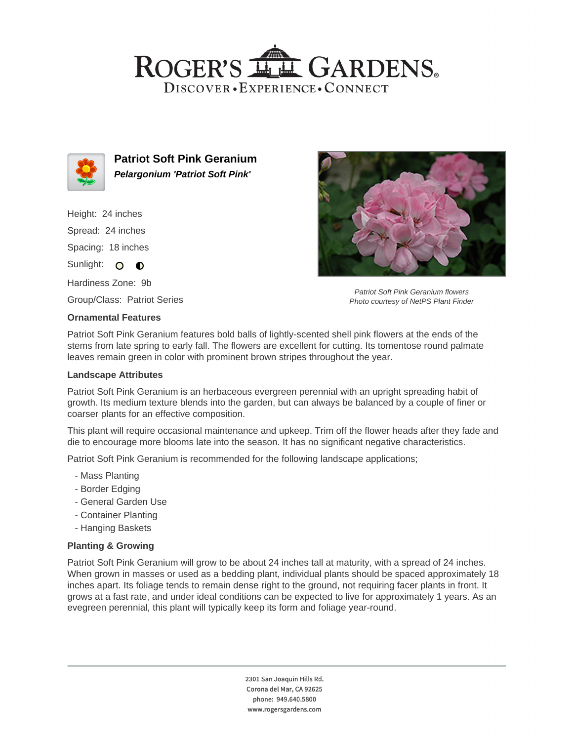## ROGER'S LL GARDENS. DISCOVER · EXPERIENCE · CONNECT



**Patriot Soft Pink Geranium Pelargonium 'Patriot Soft Pink'**

Height: 24 inches Spread: 24 inches Spacing: 18 inches Sunlight: O **O** 

Hardiness Zone: 9b

Group/Class: Patriot Series

### **Ornamental Features**

Patriot Soft Pink Geranium flowers Photo courtesy of NetPS Plant Finder

Patriot Soft Pink Geranium features bold balls of lightly-scented shell pink flowers at the ends of the stems from late spring to early fall. The flowers are excellent for cutting. Its tomentose round palmate leaves remain green in color with prominent brown stripes throughout the year.

### **Landscape Attributes**

Patriot Soft Pink Geranium is an herbaceous evergreen perennial with an upright spreading habit of growth. Its medium texture blends into the garden, but can always be balanced by a couple of finer or coarser plants for an effective composition.

This plant will require occasional maintenance and upkeep. Trim off the flower heads after they fade and die to encourage more blooms late into the season. It has no significant negative characteristics.

Patriot Soft Pink Geranium is recommended for the following landscape applications;

- Mass Planting
- Border Edging
- General Garden Use
- Container Planting
- Hanging Baskets

### **Planting & Growing**

Patriot Soft Pink Geranium will grow to be about 24 inches tall at maturity, with a spread of 24 inches. When grown in masses or used as a bedding plant, individual plants should be spaced approximately 18 inches apart. Its foliage tends to remain dense right to the ground, not requiring facer plants in front. It grows at a fast rate, and under ideal conditions can be expected to live for approximately 1 years. As an evegreen perennial, this plant will typically keep its form and foliage year-round.

> 2301 San Joaquin Hills Rd. Corona del Mar, CA 92625 phone: 949.640.5800 www.rogersgardens.com